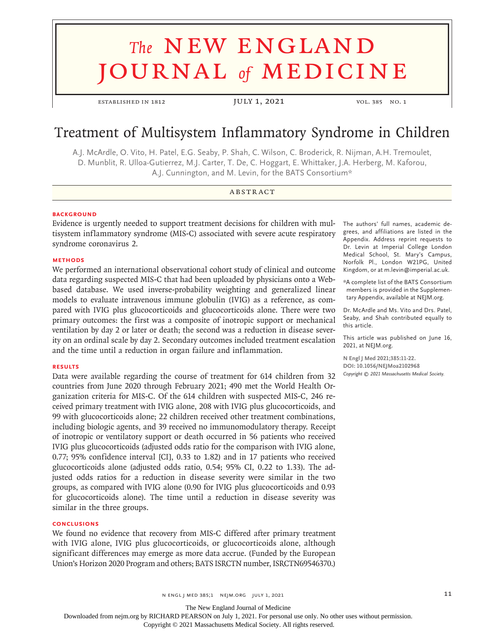# **The NEW ENGLAND** journal *of* medicine

established in 1812 JULY 1, 2021 vol. 385 no. 1

# Treatment of Multisystem Inflammatory Syndrome in Children

A.J. McArdle, O. Vito, H. Patel, E.G. Seaby, P. Shah, C. Wilson, C. Broderick, R. Nijman, A.H. Tremoulet, D. Munblit, R. Ulloa‑Gutierrez, M.J. Carter, T. De, C. Hoggart, E. Whittaker, J.A. Herberg, M. Kaforou, A.J. Cunnington, and M. Levin, for the BATS Consortium\*

#### **ABSTRACT**

#### **BACKGROUND**

Evidence is urgently needed to support treatment decisions for children with multisystem inflammatory syndrome (MIS-C) associated with severe acute respiratory syndrome coronavirus 2.

#### **METHODS**

We performed an international observational cohort study of clinical and outcome data regarding suspected MIS-C that had been uploaded by physicians onto a Webbased database. We used inverse-probability weighting and generalized linear models to evaluate intravenous immune globulin (IVIG) as a reference, as compared with IVIG plus glucocorticoids and glucocorticoids alone. There were two primary outcomes: the first was a composite of inotropic support or mechanical ventilation by day 2 or later or death; the second was a reduction in disease severity on an ordinal scale by day 2. Secondary outcomes included treatment escalation and the time until a reduction in organ failure and inflammation.

#### **RESULTS**

Data were available regarding the course of treatment for 614 children from 32 countries from June 2020 through February 2021; 490 met the World Health Organization criteria for MIS-C. Of the 614 children with suspected MIS-C, 246 received primary treatment with IVIG alone, 208 with IVIG plus glucocorticoids, and 99 with glucocorticoids alone; 22 children received other treatment combinations, including biologic agents, and 39 received no immunomodulatory therapy. Receipt of inotropic or ventilatory support or death occurred in 56 patients who received IVIG plus glucocorticoids (adjusted odds ratio for the comparison with IVIG alone, 0.77; 95% confidence interval [CI], 0.33 to 1.82) and in 17 patients who received glucocorticoids alone (adjusted odds ratio, 0.54; 95% CI, 0.22 to 1.33). The adjusted odds ratios for a reduction in disease severity were similar in the two groups, as compared with IVIG alone (0.90 for IVIG plus glucocorticoids and 0.93 for glucocorticoids alone). The time until a reduction in disease severity was similar in the three groups.

#### **CONCLUSIONS**

We found no evidence that recovery from MIS-C differed after primary treatment with IVIG alone, IVIG plus glucocorticoids, or glucocorticoids alone, although significant differences may emerge as more data accrue. (Funded by the European Union's Horizon 2020 Program and others; BATS ISRCTN number, ISRCTN69546370.)

The authors' full names, academic degrees, and affiliations are listed in the Appendix. Address reprint requests to Dr. Levin at Imperial College London Medical School, St. Mary's Campus, Norfolk Pl., London W21PG, United Kingdom, or at m.levin@imperial.ac.uk.

\*A complete list of the BATS Consortium members is provided in the Supplemen‑ tary Appendix, available at NEJM.org.

Dr. McArdle and Ms. Vito and Drs. Patel, Seaby, and Shah contributed equally to this article.

This article was published on June 16, 2021, at NEJM.org.

**N Engl J Med 2021;385:11-22. DOI: 10.1056/NEJMoa2102968** *Copyright © 2021 Massachusetts Medical Society.*

The New England Journal of Medicine

Downloaded from nejm.org by RICHARD PEARSON on July 1, 2021. For personal use only. No other uses without permission.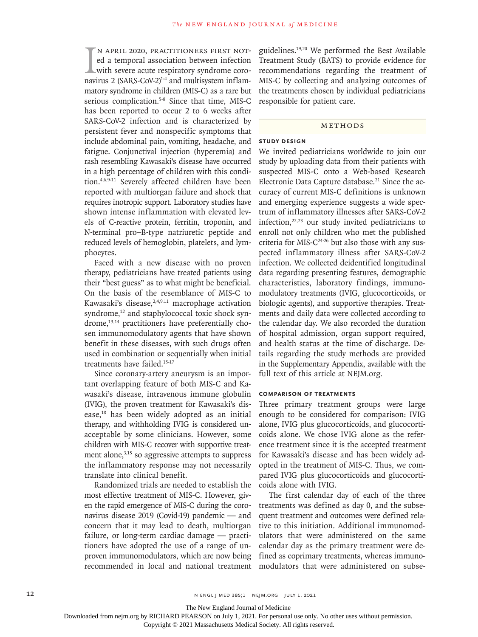$\prod_{\text{navi}}$ n April 2020, practitioners first noted a temporal association between infection with severe acute respiratory syndrome coronavirus 2 (SARS-CoV-2)<sup>1-4</sup> and multisystem inflammatory syndrome in children (MIS-C) as a rare but serious complication.<sup>5-8</sup> Since that time, MIS-C has been reported to occur 2 to 6 weeks after SARS-CoV-2 infection and is characterized by persistent fever and nonspecific symptoms that include abdominal pain, vomiting, headache, and fatigue. Conjunctival injection (hyperemia) and rash resembling Kawasaki's disease have occurred in a high percentage of children with this condition.4,6,9-11 Severely affected children have been reported with multiorgan failure and shock that requires inotropic support. Laboratory studies have shown intense inflammation with elevated levels of C-reactive protein, ferritin, troponin, and N-terminal pro–B-type natriuretic peptide and reduced levels of hemoglobin, platelets, and lymphocytes.

Faced with a new disease with no proven therapy, pediatricians have treated patients using their "best guess" as to what might be beneficial. On the basis of the resemblance of MIS-C to Kawasaki's disease,<sup>2,4,9,11</sup> macrophage activation syndrome,<sup>12</sup> and staphylococcal toxic shock syndrome,<sup>13,14</sup> practitioners have preferentially chosen immunomodulatory agents that have shown benefit in these diseases, with such drugs often used in combination or sequentially when initial treatments have failed.15-17

Since coronary-artery aneurysm is an important overlapping feature of both MIS-C and Kawasaki's disease, intravenous immune globulin (IVIG), the proven treatment for Kawasaki's disease,18 has been widely adopted as an initial therapy, and withholding IVIG is considered unacceptable by some clinicians. However, some children with MIS-C recover with supportive treatment alone, $3,15$  so aggressive attempts to suppress the inflammatory response may not necessarily translate into clinical benefit.

Randomized trials are needed to establish the most effective treatment of MIS-C. However, given the rapid emergence of MIS-C during the coronavirus disease 2019 (Covid-19) pandemic — and concern that it may lead to death, multiorgan failure, or long-term cardiac damage — practitioners have adopted the use of a range of unproven immunomodulators, which are now being recommended in local and national treatment guidelines.19,20 We performed the Best Available Treatment Study (BATS) to provide evidence for recommendations regarding the treatment of MIS-C by collecting and analyzing outcomes of the treatments chosen by individual pediatricians responsible for patient care.

# METHODS

## **Study Design**

We invited pediatricians worldwide to join our study by uploading data from their patients with suspected MIS-C onto a Web-based Research Electronic Data Capture database.<sup>21</sup> Since the accuracy of current MIS-C definitions is unknown and emerging experience suggests a wide spectrum of inflammatory illnesses after SARS-CoV-2 infection,22,23 our study invited pediatricians to enroll not only children who met the published criteria for MIS- $C^{24-26}$  but also those with any suspected inflammatory illness after SARS-CoV-2 infection. We collected deidentified longitudinal data regarding presenting features, demographic characteristics, laboratory findings, immunomodulatory treatments (IVIG, glucocorticoids, or biologic agents), and supportive therapies. Treatments and daily data were collected according to the calendar day. We also recorded the duration of hospital admission, organ support required, and health status at the time of discharge. Details regarding the study methods are provided in the Supplementary Appendix, available with the full text of this article at NEJM.org.

## **Comparison of Treatments**

Three primary treatment groups were large enough to be considered for comparison: IVIG alone, IVIG plus glucocorticoids, and glucocorticoids alone. We chose IVIG alone as the reference treatment since it is the accepted treatment for Kawasaki's disease and has been widely adopted in the treatment of MIS-C. Thus, we compared IVIG plus glucocorticoids and glucocorticoids alone with IVIG.

The first calendar day of each of the three treatments was defined as day 0, and the subsequent treatment and outcomes were defined relative to this initiation. Additional immunomodulators that were administered on the same calendar day as the primary treatment were defined as coprimary treatments, whereas immunomodulators that were administered on subse-

The New England Journal of Medicine

Downloaded from nejm.org by RICHARD PEARSON on July 1, 2021. For personal use only. No other uses without permission.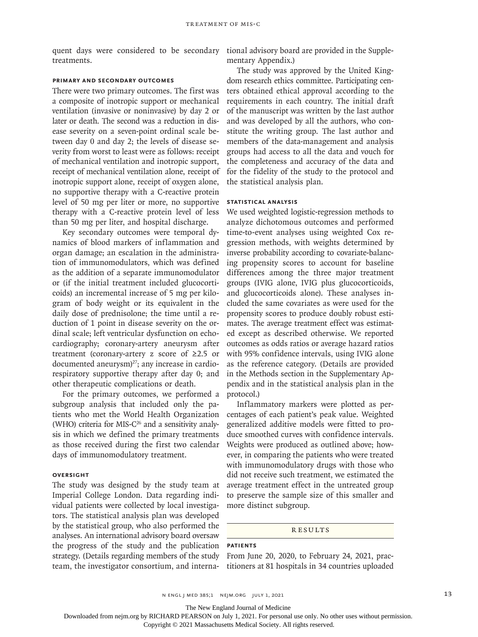quent days were considered to be secondary treatments.

tional advisory board are provided in the Supplementary Appendix.)

#### **Primary and Secondary Outcomes**

There were two primary outcomes. The first was a composite of inotropic support or mechanical ventilation (invasive or noninvasive) by day 2 or later or death. The second was a reduction in disease severity on a seven-point ordinal scale between day 0 and day 2; the levels of disease severity from worst to least were as follows: receipt of mechanical ventilation and inotropic support, receipt of mechanical ventilation alone, receipt of inotropic support alone, receipt of oxygen alone, no supportive therapy with a C-reactive protein level of 50 mg per liter or more, no supportive therapy with a C-reactive protein level of less than 50 mg per liter, and hospital discharge.

Key secondary outcomes were temporal dynamics of blood markers of inflammation and organ damage; an escalation in the administration of immunomodulators, which was defined as the addition of a separate immunomodulator or (if the initial treatment included glucocorticoids) an incremental increase of 5 mg per kilogram of body weight or its equivalent in the daily dose of prednisolone; the time until a reduction of 1 point in disease severity on the ordinal scale; left ventricular dysfunction on echocardiography; coronary-artery aneurysm after treatment (coronary-artery z score of ≥2.5 or documented aneurysm)<sup>27</sup>; any increase in cardiorespiratory supportive therapy after day 0; and other therapeutic complications or death.

For the primary outcomes, we performed a subgroup analysis that included only the patients who met the World Health Organization (WHO) criteria for MIS-C<sup>26</sup> and a sensitivity analysis in which we defined the primary treatments as those received during the first two calendar days of immunomodulatory treatment.

## **Oversight**

The study was designed by the study team at Imperial College London. Data regarding individual patients were collected by local investigators. The statistical analysis plan was developed by the statistical group, who also performed the analyses. An international advisory board oversaw the progress of the study and the publication strategy. (Details regarding members of the study team, the investigator consortium, and interna-

The study was approved by the United Kingdom research ethics committee. Participating centers obtained ethical approval according to the requirements in each country. The initial draft of the manuscript was written by the last author and was developed by all the authors, who constitute the writing group. The last author and members of the data-management and analysis groups had access to all the data and vouch for the completeness and accuracy of the data and for the fidelity of the study to the protocol and the statistical analysis plan.

#### **Statistical Analysis**

We used weighted logistic-regression methods to analyze dichotomous outcomes and performed time-to-event analyses using weighted Cox regression methods, with weights determined by inverse probability according to covariate-balancing propensity scores to account for baseline differences among the three major treatment groups (IVIG alone, IVIG plus glucocorticoids, and glucocorticoids alone). These analyses included the same covariates as were used for the propensity scores to produce doubly robust estimates. The average treatment effect was estimated except as described otherwise. We reported outcomes as odds ratios or average hazard ratios with 95% confidence intervals, using IVIG alone as the reference category. (Details are provided in the Methods section in the Supplementary Appendix and in the statistical analysis plan in the protocol.)

Inflammatory markers were plotted as percentages of each patient's peak value. Weighted generalized additive models were fitted to produce smoothed curves with confidence intervals. Weights were produced as outlined above; however, in comparing the patients who were treated with immunomodulatory drugs with those who did not receive such treatment, we estimated the average treatment effect in the untreated group to preserve the sample size of this smaller and more distinct subgroup.

#### **RESULTS**

#### **Patients**

From June 20, 2020, to February 24, 2021, practitioners at 81 hospitals in 34 countries uploaded

The New England Journal of Medicine

Downloaded from nejm.org by RICHARD PEARSON on July 1, 2021. For personal use only. No other uses without permission.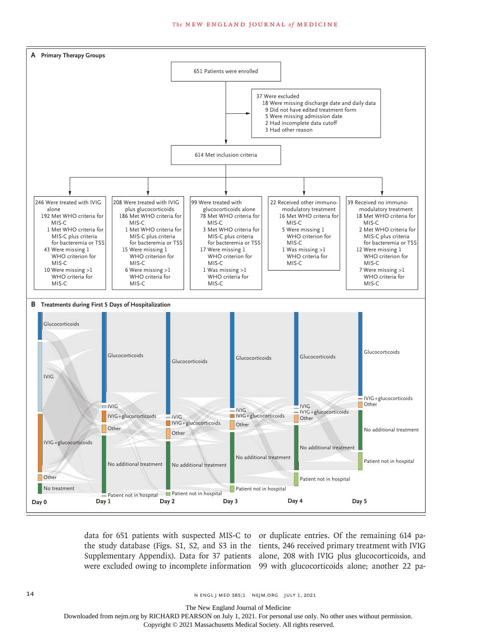#### **The NEW ENGLAND JOURNAL of MEDICINE**



data for 651 patients with suspected MIS-C to or duplicate entries. Of the remaining 614 pa-

the study database (Figs. S1, S2, and S3 in the tients, 246 received primary treatment with IVIG Supplementary Appendix). Data for 37 patients alone, 208 with IVIG plus glucocorticoids, and were excluded owing to incomplete information 99 with glucocorticoids alone; another 22 pa-

14 **14** N ENGL | MED 385;1 NEJM.ORG JULY 1, 2021

The New England Journal of Medicine

Downloaded from nejm.org by RICHARD PEARSON on July 1, 2021. For personal use only. No other uses without permission.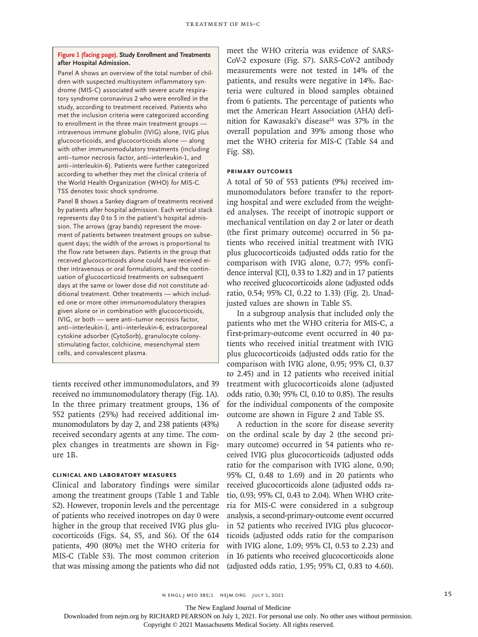#### **Figure 1 (facing page). Study Enrollment and Treatments after Hospital Admission.**

Panel A shows an overview of the total number of children with suspected multisystem inflammatory syndrome (MIS-C) associated with severe acute respiratory syndrome coronavirus 2 who were enrolled in the study, according to treatment received. Patients who met the inclusion criteria were categorized according to enrollment in the three main treatment groups intravenous immune globulin (IVIG) alone, IVIG plus glucocorticoids, and glucocorticoids alone — along with other immunomodulatory treatments (including anti–tumor necrosis factor, anti–interleukin-1, and anti–interleukin-6). Patients were further categorized according to whether they met the clinical criteria of the World Health Organization (WHO) for MIS-C. TSS denotes toxic shock syndrome.

Panel B shows a Sankey diagram of treatments received by patients after hospital admission. Each vertical stack represents day 0 to 5 in the patient's hospital admis‑ sion. The arrows (gray bands) represent the movement of patients between treatment groups on subsequent days; the width of the arrows is proportional to the flow rate between days. Patients in the group that received glucocorticoids alone could have received either intravenous or oral formulations, and the continuation of glucocorticoid treatments on subsequent days at the same or lower dose did not constitute additional treatment. Other treatments - which included one or more other immunomodulatory therapies given alone or in combination with glucocorticoids, IVIG, or both — were anti–tumor necrosis factor, anti–interleukin-1, anti–interleukin-6, extracorporeal cytokine adsorber (CytoSorb), granulocyte colonystimulating factor, colchicine, mesenchymal stem cells, and convalescent plasma.

tients received other immunomodulators, and 39 received no immunomodulatory therapy (Fig. 1A). In the three primary treatment groups, 136 of 552 patients (25%) had received additional immunomodulators by day 2, and 238 patients (43%) received secondary agents at any time. The complex changes in treatments are shown in Figure 1B.

#### **Clinical and Laboratory Measures**

Clinical and laboratory findings were similar among the treatment groups (Table 1 and Table S2). However, troponin levels and the percentage of patients who received inotropes on day 0 were higher in the group that received IVIG plus glucocorticoids (Figs. S4, S5, and S6). Of the 614 patients, 490 (80%) met the WHO criteria for MIS-C (Table S3). The most common criterion that was missing among the patients who did not meet the WHO criteria was evidence of SARS-CoV-2 exposure (Fig. S7). SARS-CoV-2 antibody measurements were not tested in 14% of the patients, and results were negative in 14%. Bacteria were cultured in blood samples obtained from 6 patients. The percentage of patients who met the American Heart Association (AHA) definition for Kawasaki's disease<sup>18</sup> was 37% in the overall population and 39% among those who met the WHO criteria for MIS-C (Table S4 and Fig. S8).

#### **Primary Outcomes**

A total of 50 of 553 patients (9%) received immunomodulators before transfer to the reporting hospital and were excluded from the weighted analyses. The receipt of inotropic support or mechanical ventilation on day 2 or later or death (the first primary outcome) occurred in 56 patients who received initial treatment with IVIG plus glucocorticoids (adjusted odds ratio for the comparison with IVIG alone, 0.77; 95% confidence interval [CI], 0.33 to 1.82) and in 17 patients who received glucocorticoids alone (adjusted odds ratio, 0.54; 95% CI, 0.22 to 1.33) (Fig. 2). Unadjusted values are shown in Table S5.

In a subgroup analysis that included only the patients who met the WHO criteria for MIS-C, a first-primary-outcome event occurred in 40 patients who received initial treatment with IVIG plus glucocorticoids (adjusted odds ratio for the comparison with IVIG alone, 0.95; 95% CI, 0.37 to 2.45) and in 12 patients who received initial treatment with glucocorticoids alone (adjusted odds ratio, 0.30; 95% CI, 0.10 to 0.85). The results for the individual components of the composite outcome are shown in Figure 2 and Table S5.

A reduction in the score for disease severity on the ordinal scale by day 2 (the second primary outcome) occurred in 54 patients who received IVIG plus glucocorticoids (adjusted odds ratio for the comparison with IVIG alone, 0.90; 95% CI, 0.48 to 1.69) and in 20 patients who received glucocorticoids alone (adjusted odds ratio, 0.93; 95% CI, 0.43 to 2.04). When WHO criteria for MIS-C were considered in a subgroup analysis, a second-primary-outcome event occurred in 52 patients who received IVIG plus glucocorticoids (adjusted odds ratio for the comparison with IVIG alone, 1.09; 95% CI, 0.53 to 2.23) and in 16 patients who received glucocorticoids alone (adjusted odds ratio, 1.95; 95% CI, 0.83 to 4.60).

n engl j med 385;1 nejm.org July 1, 2021 15

The New England Journal of Medicine

Downloaded from nejm.org by RICHARD PEARSON on July 1, 2021. For personal use only. No other uses without permission.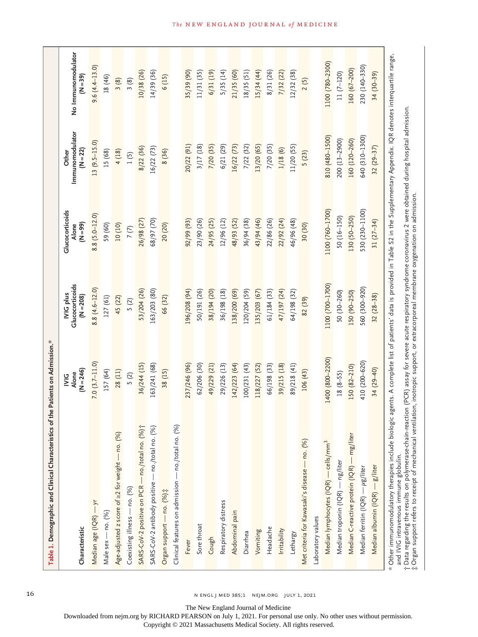| Table 1. Demographic and Clinical Characteristics of the Patients on Admission. <sup>28</sup>                                                                                                                                  |                                       |                                             |                                        |                                        |                                  |
|--------------------------------------------------------------------------------------------------------------------------------------------------------------------------------------------------------------------------------|---------------------------------------|---------------------------------------------|----------------------------------------|----------------------------------------|----------------------------------|
| Characteristic                                                                                                                                                                                                                 | $(N = 246)$<br>Alone<br>$\frac{6}{2}$ | Glucocorticoids<br>IVIG plus<br>$(N = 208)$ | Glucocorticoids<br>$(66 - N)$<br>Alone | Immunomodulator<br>$(N = 22)$<br>Other | No Immunomodulator<br>$(N = 39)$ |
| Median age (IQR) - yr                                                                                                                                                                                                          | $7.0(3.7 - 11.0)$                     | $8.8(4.6 - 12.0)$                           | $8.8(5.0 - 12.0)$                      | $13(9.5-15.0)$                         | $9.6(4.4 - 13.0)$                |
| Male sex - no. (%)                                                                                                                                                                                                             | 157 (64)                              | 127 (61)                                    | 59 (60)                                | 15 (68)                                | 18 (46)                          |
| Age-adjusted z score of $\geq$ 2 for weight - no. (%)                                                                                                                                                                          | 28 (11)                               | 45 (22)                                     | 10(10)                                 | 4(18)                                  | 3(8)                             |
| Coexisting illness — no. (%)                                                                                                                                                                                                   | 5(2)                                  | 5(2)                                        | 7(7)                                   | 1(5)                                   | 3(8)                             |
| SARS-CoV-2 positive on PCR - no./total no. (%) j                                                                                                                                                                               | 36/244 (15)                           | 53/204 (26)                                 | 26/98 (27)                             | 8/22 (36)                              | 10/38 (26)                       |
| SARS-CoV-2 antibody positive - no./total no. (%)                                                                                                                                                                               | 163/241 (68)                          | 163/203 (80)                                | 68/97 (70)                             | 16/22 (73)                             | 14/39(36)                        |
| Organ support - no. (%);                                                                                                                                                                                                       | 38 (15)                               | 66 (32)                                     | 20 (20)                                | 8 (36)                                 | 6(15)                            |
| Clinical features on admission - no./total no. (%)                                                                                                                                                                             |                                       |                                             |                                        |                                        |                                  |
| Fever                                                                                                                                                                                                                          | 237/246 (96)                          | 196/208 (94)                                | 92/99 (93)                             | 20/22 (91)                             | 35/39 (90)                       |
| Sore throat                                                                                                                                                                                                                    | 62/206 (30)                           | 50/191 (26)                                 | 23/90 (26)                             | 3/17(18)                               | 11/31 (35)                       |
| Cough                                                                                                                                                                                                                          | 49/229 (21)                           | 38/194 (20)                                 | 24/95 (25)                             | 7/20 (35)                              | 6/31(19)                         |
| Respiratory distress                                                                                                                                                                                                           | 29/226 (13)                           | 36/198 (18)                                 | 12/96 (12)                             | 6/21 (29)                              | 5/35(14)                         |
| Abdominal pain                                                                                                                                                                                                                 | 142/223 (64)                          | 138/200 (69)                                | 48/93 (52)                             | 16/22 (73)                             | 21/35(60)                        |
| Diarrhea                                                                                                                                                                                                                       | 100/231 (43)                          | 20/204 (59)                                 | 86/94 (38)                             | 7/22 (32)                              | 18/35(51)                        |
| Vomiting                                                                                                                                                                                                                       | 118/227 (52)                          | 135/203 (67)                                | 43/94 (46)                             | 13/20 (65)                             | 15/34(44)                        |
| Headache                                                                                                                                                                                                                       | 66/198 (33)                           | 61/184 (33)                                 | 22/86 (26)                             | 7/20 (35)                              | 8/31 (26)                        |
| Irritability                                                                                                                                                                                                                   | 39/215 (18)                           | 47/197 (24)                                 | 22/92 (24)                             | 1/18(6)                                | 7/32 (22)                        |
| Lethargy                                                                                                                                                                                                                       | 89/218 (41)                           | 64/198 (32)                                 | 46/96 (48)                             | 11/20 (55)                             | 12/32 (38)                       |
| Met criteria for Kawasaki's disease - no. (%)                                                                                                                                                                                  | 106(43)                               | 82 (39)                                     | 30 (30)                                | 5(23)                                  | 2(5)                             |
| Laboratory values                                                                                                                                                                                                              |                                       |                                             |                                        |                                        |                                  |
| Median lymphocytes (IQR) — cells/mm <sup>3</sup>                                                                                                                                                                               | 1400 (800-2200)                       | 1100 (700-1700)                             | 1100 (760-1700)                        | 810 (480-1500)                         | 1100 (780-2300)                  |
| Median troponin (IQR) — ng/liter                                                                                                                                                                                               | $18(8 - 55)$                          | 50 (30-260)                                 | $50(16-150)$                           | 200 (13-2900)                          | $11(7-120)$                      |
| Median C-reactive protein (IQR) — mg/liter                                                                                                                                                                                     | $150(82 - 210)$                       | 150 (90-250)                                | 130 (50-250)                           | 160 (120-260)                          | 160 (67-200)                     |
| Median ferritin (IQR) - µg/liter                                                                                                                                                                                               | 410 (200-620)                         | 560 (300-920)                               | 530 (230-1100)                         | 640 (310-1300)                         | 230 (140-330)                    |
| Median albumin (IQR) — g/liter                                                                                                                                                                                                 | 34 (29-40)                            | $32(28-38)$                                 | 31 $(27-34)$                           | $32(29 - 37)$                          | $34(30-39)$                      |
| * Other immunomodulatory therapies include biologic agents. A complete list of patients' data is provided in Table S2 in the Supplementary Appendix. IQR denotes interquartile range.<br>and IVIG intravenous immune globulin. |                                       |                                             |                                        |                                        |                                  |

16 **n** ENGL J MED 385;1 NEJM.ORG JULY 1, 2021

†‡

Data regarding the results on polymerase-chain-reaction (PCR) assay for severe acute respiratory syndrome coronavirus 2 were obtained during hospital admission.

Organ support refers to receipt of mechanical ventilation, inotropic support, or extracorporeal membrane oxygenation on admission.

The New England Journal of Medicine

Downloaded from nejm.org by RICHARD PEARSON on July 1, 2021. For personal use only. No other uses without permission.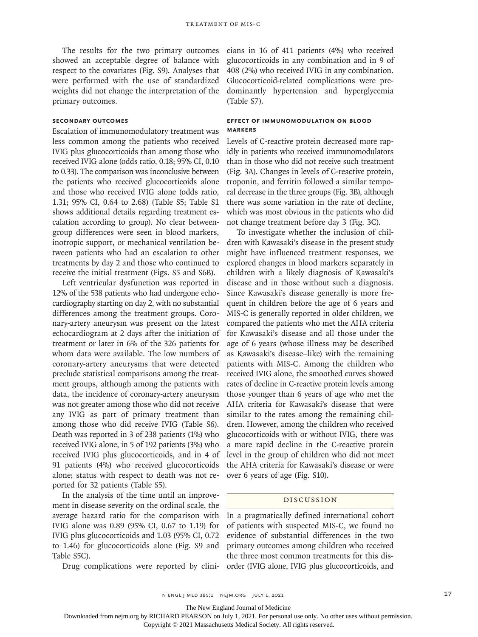The results for the two primary outcomes showed an acceptable degree of balance with respect to the covariates (Fig. S9). Analyses that were performed with the use of standardized weights did not change the interpretation of the primary outcomes.

#### **Secondary Outcomes**

Escalation of immunomodulatory treatment was less common among the patients who received IVIG plus glucocorticoids than among those who received IVIG alone (odds ratio, 0.18; 95% CI, 0.10 to 0.33). The comparison was inconclusive between the patients who received glucocorticoids alone and those who received IVIG alone (odds ratio, 1.31; 95% CI, 0.64 to 2.68) (Table S5; Table S1 shows additional details regarding treatment escalation according to group). No clear betweengroup differences were seen in blood markers, inotropic support, or mechanical ventilation between patients who had an escalation to other treatments by day 2 and those who continued to receive the initial treatment (Figs. S5 and S6B).

Left ventricular dysfunction was reported in 12% of the 538 patients who had undergone echocardiography starting on day 2, with no substantial differences among the treatment groups. Coronary-artery aneurysm was present on the latest echocardiogram at 2 days after the initiation of treatment or later in 6% of the 326 patients for whom data were available. The low numbers of coronary-artery aneurysms that were detected preclude statistical comparisons among the treatment groups, although among the patients with data, the incidence of coronary-artery aneurysm was not greater among those who did not receive any IVIG as part of primary treatment than among those who did receive IVIG (Table S6). Death was reported in 3 of 238 patients (1%) who received IVIG alone, in 5 of 192 patients (3%) who received IVIG plus glucocorticoids, and in 4 of 91 patients (4%) who received glucocorticoids alone; status with respect to death was not reported for 32 patients (Table S5).

In the analysis of the time until an improvement in disease severity on the ordinal scale, the average hazard ratio for the comparison with IVIG alone was 0.89 (95% CI, 0.67 to 1.19) for IVIG plus glucocorticoids and 1.03 (95% CI, 0.72 to 1.46) for glucocorticoids alone (Fig. S9 and Table S5C).

Drug complications were reported by clini-

cians in 16 of 411 patients (4%) who received glucocorticoids in any combination and in 9 of 408 (2%) who received IVIG in any combination. Glucocorticoid-related complications were predominantly hypertension and hyperglycemia (Table S7).

#### **Effect of Immunomodulation on Blood Markers**

Levels of C-reactive protein decreased more rapidly in patients who received immunomodulators than in those who did not receive such treatment (Fig. 3A). Changes in levels of C-reactive protein, troponin, and ferritin followed a similar temporal decrease in the three groups (Fig. 3B), although there was some variation in the rate of decline, which was most obvious in the patients who did not change treatment before day 3 (Fig. 3C).

To investigate whether the inclusion of children with Kawasaki's disease in the present study might have influenced treatment responses, we explored changes in blood markers separately in children with a likely diagnosis of Kawasaki's disease and in those without such a diagnosis. Since Kawasaki's disease generally is more frequent in children before the age of 6 years and MIS-C is generally reported in older children, we compared the patients who met the AHA criteria for Kawasaki's disease and all those under the age of 6 years (whose illness may be described as Kawasaki's disease–like) with the remaining patients with MIS-C. Among the children who received IVIG alone, the smoothed curves showed rates of decline in C-reactive protein levels among those younger than 6 years of age who met the AHA criteria for Kawasaki's disease that were similar to the rates among the remaining children. However, among the children who received glucocorticoids with or without IVIG, there was a more rapid decline in the C-reactive protein level in the group of children who did not meet the AHA criteria for Kawasaki's disease or were over 6 years of age (Fig. S10).

#### Discussion

In a pragmatically defined international cohort of patients with suspected MIS-C, we found no evidence of substantial differences in the two primary outcomes among children who received the three most common treatments for this disorder (IVIG alone, IVIG plus glucocorticoids, and

The New England Journal of Medicine

Downloaded from nejm.org by RICHARD PEARSON on July 1, 2021. For personal use only. No other uses without permission.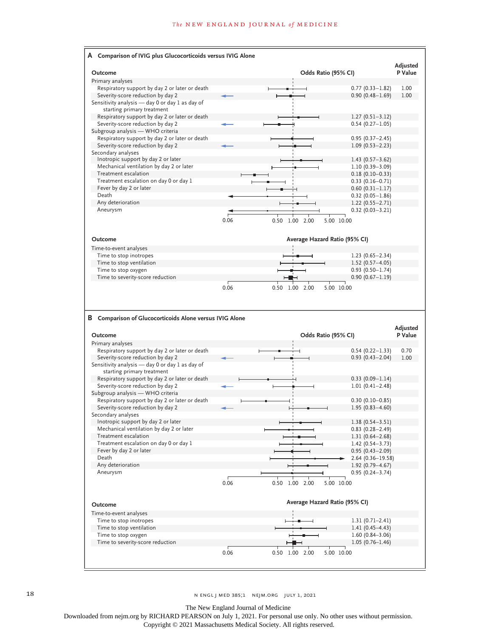|                                                                                                                                                                               |      |                                    |                                            | Adjusted                            |
|-------------------------------------------------------------------------------------------------------------------------------------------------------------------------------|------|------------------------------------|--------------------------------------------|-------------------------------------|
| Outcome                                                                                                                                                                       |      | Odds Ratio (95% CI)                |                                            | P Value                             |
| Primary analyses                                                                                                                                                              |      |                                    |                                            |                                     |
| Respiratory support by day 2 or later or death                                                                                                                                |      |                                    | $0.77(0.33 - 1.82)$                        | 1.00                                |
| Severity-score reduction by day 2                                                                                                                                             |      |                                    | $0.90(0.48 - 1.69)$                        | 1.00                                |
| Sensitivity analysis - day 0 or day 1 as day of                                                                                                                               |      |                                    |                                            |                                     |
| starting primary treatment                                                                                                                                                    |      |                                    |                                            |                                     |
| Respiratory support by day 2 or later or death<br>Severity-score reduction by day 2                                                                                           |      |                                    | $1.27(0.51 - 3.12)$<br>$0.54(0.27 - 1.05)$ |                                     |
| Subgroup analysis - WHO criteria                                                                                                                                              |      |                                    |                                            |                                     |
| Respiratory support by day 2 or later or death                                                                                                                                |      |                                    | $0.95(0.37 - 2.45)$                        |                                     |
| Severity-score reduction by day 2                                                                                                                                             |      |                                    | $1.09(0.53 - 2.23)$                        |                                     |
| Secondary analyses                                                                                                                                                            |      |                                    |                                            |                                     |
| Inotropic support by day 2 or later                                                                                                                                           |      |                                    | $1.43(0.57 - 3.62)$                        |                                     |
| Mechanical ventilation by day 2 or later                                                                                                                                      |      |                                    | $1.10(0.39 - 3.09)$                        |                                     |
| Treatment escalation                                                                                                                                                          |      |                                    | $0.18(0.10 - 0.33)$                        |                                     |
| Treatment escalation on day 0 or day 1                                                                                                                                        |      |                                    | 0.33 (0.16–0.71)                           |                                     |
| Fever by day 2 or later                                                                                                                                                       |      |                                    | $0.60(0.31 - 1.17)$                        |                                     |
| Death                                                                                                                                                                         |      |                                    | $0.32(0.05 - 1.86)$                        |                                     |
| Any deterioration                                                                                                                                                             |      |                                    | $1.22(0.55 - 2.71)$                        |                                     |
| Aneurysm                                                                                                                                                                      |      |                                    | $0.32(0.03 - 3.21)$                        |                                     |
|                                                                                                                                                                               | 0.06 | 0.50<br>1.00<br>2.00<br>5.00 10.00 |                                            |                                     |
|                                                                                                                                                                               |      |                                    |                                            |                                     |
| Outcome                                                                                                                                                                       |      | Average Hazard Ratio (95% CI)      |                                            |                                     |
| Time-to-event analyses                                                                                                                                                        |      |                                    |                                            |                                     |
| Time to stop inotropes                                                                                                                                                        |      |                                    | $1.23(0.65 - 2.34)$                        |                                     |
| Time to stop ventilation                                                                                                                                                      |      |                                    | $1.52(0.57 - 4.05)$                        |                                     |
| Time to stop oxygen                                                                                                                                                           |      |                                    | $0.93(0.50 - 1.74)$                        |                                     |
| Time to severity-score reduction                                                                                                                                              |      |                                    | $0.90(0.67 - 1.19)$                        |                                     |
|                                                                                                                                                                               |      |                                    |                                            |                                     |
|                                                                                                                                                                               | 0.06 | 5.00 10.00<br>$0.50$ 1.00<br>2.00  |                                            |                                     |
|                                                                                                                                                                               |      |                                    |                                            |                                     |
|                                                                                                                                                                               |      |                                    |                                            |                                     |
|                                                                                                                                                                               |      | Odds Ratio (95% CI)                |                                            |                                     |
|                                                                                                                                                                               |      |                                    |                                            |                                     |
| <b>B</b> Comparison of Glucocorticoids Alone versus IVIG Alone<br>Outcome<br>Primary analyses<br>Respiratory support by day 2 or later or death                               |      |                                    | $0.54(0.22 - 1.33)$                        |                                     |
| Severity-score reduction by day 2                                                                                                                                             |      |                                    | $0.93(0.43 - 2.04)$                        |                                     |
|                                                                                                                                                                               |      |                                    |                                            |                                     |
| starting primary treatment                                                                                                                                                    |      |                                    |                                            |                                     |
| Respiratory support by day 2 or later or death                                                                                                                                |      |                                    | $0.33(0.09 - 1.14)$                        |                                     |
| Severity-score reduction by day 2                                                                                                                                             |      |                                    | $1.01(0.41 - 2.48)$                        |                                     |
|                                                                                                                                                                               |      |                                    |                                            |                                     |
| Respiratory support by day 2 or later or death                                                                                                                                |      |                                    | $0.30(0.10 - 0.85)$                        |                                     |
| Severity-score reduction by day 2                                                                                                                                             |      |                                    | $1.95(0.83 - 4.60)$                        |                                     |
|                                                                                                                                                                               |      |                                    |                                            |                                     |
| Inotropic support by day 2 or later                                                                                                                                           |      |                                    | $1.38(0.54 - 3.51)$                        |                                     |
| Sensitivity analysis - day 0 or day 1 as day of<br>Subgroup analysis - WHO criteria<br>Secondary analyses<br>Mechanical ventilation by day 2 or later<br>Treatment escalation |      |                                    | $0.83$ $(0.28 - 2.49)$                     |                                     |
| Treatment escalation on day 0 or day 1                                                                                                                                        |      |                                    | $1.31(0.64 - 2.68)$<br>$1.42(0.54 - 3.73)$ |                                     |
| Fever by day 2 or later                                                                                                                                                       |      |                                    | $0.95(0.43 - 2.09)$                        |                                     |
| Death                                                                                                                                                                         |      |                                    | 2.64 (0.36-19.58)                          |                                     |
| Any deterioration                                                                                                                                                             |      |                                    | $1.92(0.79 - 4.67)$                        | Adjusted<br>P Value<br>0.70<br>1.00 |
| Aneurysm                                                                                                                                                                      |      |                                    | $0.95(0.24 - 3.74)$                        |                                     |
|                                                                                                                                                                               | 0.06 | 0.50 1.00 2.00<br>5.00 10.00       |                                            |                                     |
|                                                                                                                                                                               |      |                                    |                                            |                                     |
|                                                                                                                                                                               |      |                                    |                                            |                                     |
|                                                                                                                                                                               |      | Average Hazard Ratio (95% CI)      |                                            |                                     |
|                                                                                                                                                                               |      |                                    |                                            |                                     |
| Time to stop inotropes                                                                                                                                                        |      |                                    | $1.31(0.71 - 2.41)$                        |                                     |
| Time to stop ventilation                                                                                                                                                      |      |                                    | $1.41(0.45 - 4.43)$                        |                                     |
| Outcome<br>Time-to-event analyses<br>Time to stop oxygen<br>Time to severity-score reduction                                                                                  |      |                                    | $1.60(0.84 - 3.06)$<br>$1.05(0.76 - 1.46)$ |                                     |

18 n engl j med 385;1 nejm.org July 1, 2021

The New England Journal of Medicine

Downloaded from nejm.org by RICHARD PEARSON on July 1, 2021. For personal use only. No other uses without permission.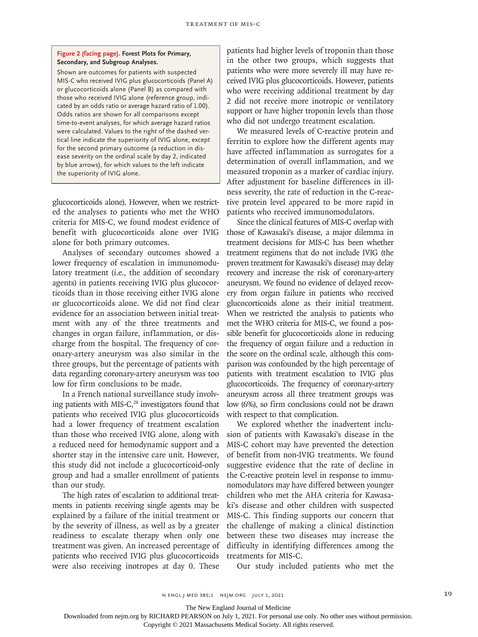#### **Figure 2 (facing page). Forest Plots for Primary, Secondary, and Subgroup Analyses.**

Shown are outcomes for patients with suspected MIS-C who received IVIG plus glucocorticoids (Panel A) or glucocorticoids alone (Panel B) as compared with those who received IVIG alone (reference group, indicated by an odds ratio or average hazard ratio of 1.00). Odds ratios are shown for all comparisons except time-to-event analyses, for which average hazard ratios were calculated. Values to the right of the dashed vertical line indicate the superiority of IVIG alone, except for the second primary outcome (a reduction in disease severity on the ordinal scale by day 2, indicated by blue arrows), for which values to the left indicate the superiority of IVIG alone.

glucocorticoids alone). However, when we restricted the analyses to patients who met the WHO criteria for MIS-C, we found modest evidence of benefit with glucocorticoids alone over IVIG alone for both primary outcomes.

Analyses of secondary outcomes showed a lower frequency of escalation in immunomodulatory treatment (i.e., the addition of secondary agents) in patients receiving IVIG plus glucocorticoids than in those receiving either IVIG alone or glucocorticoids alone. We did not find clear evidence for an association between initial treatment with any of the three treatments and changes in organ failure, inflammation, or discharge from the hospital. The frequency of coronary-artery aneurysm was also similar in the three groups, but the percentage of patients with data regarding coronary-artery aneurysm was too low for firm conclusions to be made.

In a French national surveillance study involving patients with MIS-C,<sup>28</sup> investigators found that patients who received IVIG plus glucocorticoids had a lower frequency of treatment escalation than those who received IVIG alone, along with a reduced need for hemodynamic support and a shorter stay in the intensive care unit. However, this study did not include a glucocorticoid-only group and had a smaller enrollment of patients than our study.

The high rates of escalation to additional treatments in patients receiving single agents may be explained by a failure of the initial treatment or by the severity of illness, as well as by a greater readiness to escalate therapy when only one treatment was given. An increased percentage of patients who received IVIG plus glucocorticoids were also receiving inotropes at day 0. These patients had higher levels of troponin than those in the other two groups, which suggests that patients who were more severely ill may have received IVIG plus glucocorticoids. However, patients who were receiving additional treatment by day 2 did not receive more inotropic or ventilatory support or have higher troponin levels than those who did not undergo treatment escalation.

We measured levels of C-reactive protein and ferritin to explore how the different agents may have affected inflammation as surrogates for a determination of overall inflammation, and we measured troponin as a marker of cardiac injury. After adjustment for baseline differences in illness severity, the rate of reduction in the C-reactive protein level appeared to be more rapid in patients who received immunomodulators.

Since the clinical features of MIS-C overlap with those of Kawasaki's disease, a major dilemma in treatment decisions for MIS-C has been whether treatment regimens that do not include IVIG (the proven treatment for Kawasaki's disease) may delay recovery and increase the risk of coronary-artery aneurysm. We found no evidence of delayed recovery from organ failure in patients who received glucocorticoids alone as their initial treatment. When we restricted the analysis to patients who met the WHO criteria for MIS-C, we found a possible benefit for glucocorticoids alone in reducing the frequency of organ failure and a reduction in the score on the ordinal scale, although this comparison was confounded by the high percentage of patients with treatment escalation to IVIG plus glucocorticoids. The frequency of coronary-artery aneurysm across all three treatment groups was low (6%), so firm conclusions could not be drawn with respect to that complication.

We explored whether the inadvertent inclusion of patients with Kawasaki's disease in the MIS-C cohort may have prevented the detection of benefit from non-IVIG treatments. We found suggestive evidence that the rate of decline in the C-reactive protein level in response to immunomodulators may have differed between younger children who met the AHA criteria for Kawasaki's disease and other children with suspected MIS-C. This finding supports our concern that the challenge of making a clinical distinction between these two diseases may increase the difficulty in identifying differences among the treatments for MIS-C.

Our study included patients who met the

The New England Journal of Medicine

Downloaded from nejm.org by RICHARD PEARSON on July 1, 2021. For personal use only. No other uses without permission.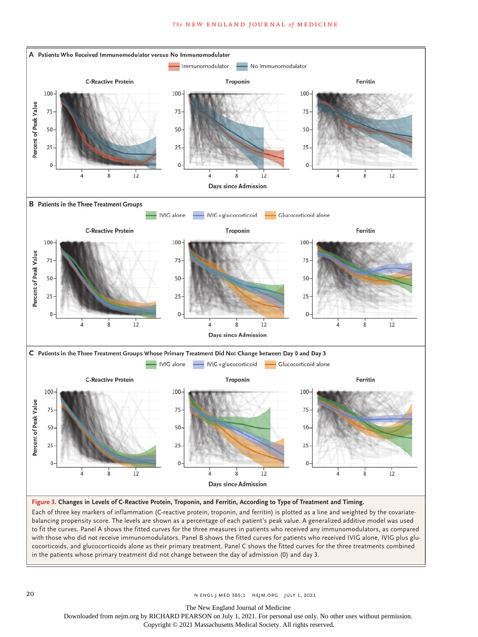#### **The NEW ENGLAND JOURNAL of MEDICINE**



**Figure 3. Changes in Levels of C-Reactive Protein, Troponin, and Ferritin, According to Type of Treatment and Timing.**

Each of three key markers of inflammation (C-reactive protein, troponin, and ferritin) is plotted as a line and weighted by the covariatebalancing propensity score. The levels are shown as a percentage of each patient's peak value. A generalized additive model was used to fit the curves. Panel A shows the fitted curves for the three measures in patients who received any immunomodulators, as compared with those who did not receive immunomodulators. Panel B shows the fitted curves for patients who received IVIG alone, IVIG plus glucocorticoids, and glucocorticoids alone as their primary treatment. Panel C shows the fitted curves for the three treatments combined in the patients whose primary treatment did not change between the day of admission (0) and day 3.

20 **N ENGL | MED 385;1 NEJM.ORG JULY 1, 2021** 

The New England Journal of Medicine

Downloaded from nejm.org by RICHARD PEARSON on July 1, 2021. For personal use only. No other uses without permission.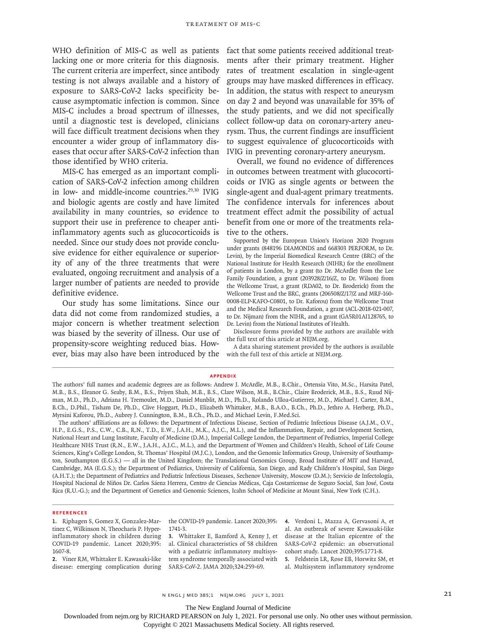WHO definition of MIS-C as well as patients lacking one or more criteria for this diagnosis. The current criteria are imperfect, since antibody testing is not always available and a history of exposure to SARS-CoV-2 lacks specificity because asymptomatic infection is common. Since MIS-C includes a broad spectrum of illnesses, until a diagnostic test is developed, clinicians will face difficult treatment decisions when they encounter a wider group of inflammatory diseases that occur after SARS-CoV-2 infection than those identified by WHO criteria.

MIS-C has emerged as an important complication of SARS-CoV-2 infection among children in low- and middle-income countries.<sup>29,30</sup> IVIG and biologic agents are costly and have limited availability in many countries, so evidence to support their use in preference to cheaper antiinflammatory agents such as glucocorticoids is needed. Since our study does not provide conclusive evidence for either equivalence or superiority of any of the three treatments that were evaluated, ongoing recruitment and analysis of a larger number of patients are needed to provide definitive evidence.

Our study has some limitations. Since our data did not come from randomized studies, a major concern is whether treatment selection was biased by the severity of illness. Our use of propensity-score weighting reduced bias. However, bias may also have been introduced by the fact that some patients received additional treatments after their primary treatment. Higher rates of treatment escalation in single-agent groups may have masked differences in efficacy. In addition, the status with respect to aneurysm on day 2 and beyond was unavailable for 35% of the study patients, and we did not specifically collect follow-up data on coronary-artery aneurysm. Thus, the current findings are insufficient to suggest equivalence of glucocorticoids with IVIG in preventing coronary-artery aneurysm.

Overall, we found no evidence of differences in outcomes between treatment with glucocorticoids or IVIG as single agents or between the single-agent and dual-agent primary treatments. The confidence intervals for inferences about treatment effect admit the possibility of actual benefit from one or more of the treatments relative to the others.

Supported by the European Union's Horizon 2020 Program under grants (848196 DIAMONDS and 668303 PERFORM, to Dr. Levin), by the Imperial Biomedical Research Centre (BRC) of the National Institute for Health Research (NIHR) for the enrollment of patients in London, by a grant (to Dr. McArdle) from the Lee Family Foundation, a grant (203928/Z/16/Z, to Dr. Wilson) from the Wellcome Trust, a grant (RDA02, to Dr. Broderick) from the Wellcome Trust and the BRC, grants (206508/Z/17/Z and MRF-160- 0008-ELP-KAFO-C0801, to Dr. Kaforou) from the Wellcome Trust and the Medical Research Foundation, a grant (ACL-2018-021-007, to Dr. Nijman) from the NIHR, and a grant (GA5R01AI128765, to Dr. Levin) from the National Institutes of Health.

Disclosure forms provided by the authors are available with the full text of this article at NEJM.org.

A data sharing statement provided by the authors is available with the full text of this article at NEJM.org.

#### **Appendix**

The authors' affiliations are as follows: the Department of Infectious Disease, Section of Pediatric Infectious Disease (A.J.M., O.V., H.P., E.G.S., P.S., C.W., C.B., R.N., T.D., E.W., J.A.H., M.K., A.J.C., M.L.), and the Inflammation, Repair, and Development Section, National Heart and Lung Institute, Faculty of Medicine (D.M.), Imperial College London, the Department of Pediatrics, Imperial College Healthcare NHS Trust (R.N., E.W., J.A.H., A.J.C., M.L.), and the Department of Women and Children's Health, School of Life Course Sciences, King's College London, St. Thomas' Hospital (M.J.C.), London, and the Genomic Informatics Group, University of Southampton, Southampton (E.G.S.) — all in the United Kingdom; the Translational Genomics Group, Broad Institute of MIT and Harvard, Cambridge, MA (E.G.S.); the Department of Pediatrics, University of California, San Diego, and Rady Children's Hospital, San Diego (A.H.T.); the Department of Pediatrics and Pediatric Infectious Diseases, Sechenov University, Moscow (D.M.); Servicio de Infectología, Hospital Nacional de Niños Dr. Carlos Sáenz Herrera, Centro de Ciencias Médicas, Caja Costarricense de Seguro Social, San José, Costa Rica (R.U.-G.); and the Department of Genetics and Genomic Sciences, Icahn School of Medicine at Mount Sinai, New York (C.H.).

#### **References**

**1.** Riphagen S, Gomez X, Gonzalez-Martinez C, Wilkinson N, Theocharis P. Hyperinflammatory shock in children during COVID-19 pandemic. Lancet 2020;395: 1607-8.

**2.** Viner RM, Whittaker E. Kawasaki-like disease: emerging complication during 1741-3.

**3.** Whittaker E, Bamford A, Kenny J, et al. Clinical characteristics of 58 children with a pediatric inflammatory multisystem syndrome temporally associated with SARS-CoV-2. JAMA 2020;324:259-69.

the COVID-19 pandemic. Lancet 2020;395: **4.** Verdoni L, Mazza A, Gervasoni A, et al. An outbreak of severe Kawasaki-like disease at the Italian epicentre of the SARS-CoV-2 epidemic: an observational cohort study. Lancet 2020;395:1771-8. **5.** Feldstein LR, Rose EB, Horwitz SM, et

al. Multisystem inflammatory syndrome

n ENGL | MED 385;1 NEJM.ORG JULY 1, 2021 21

The New England Journal of Medicine

Downloaded from nejm.org by RICHARD PEARSON on July 1, 2021. For personal use only. No other uses without permission.

The authors' full names and academic degrees are as follows: Andrew J. McArdle, M.B., B.Chir., Ortensia Vito, M.Sc., Harsita Patel, M.B., B.S., Eleanor G. Seaby, B.M., B.S., Priyen Shah, M.B., B.S., Clare Wilson, M.B., B.Chir., Claire Broderick, M.B., B.S., Ruud Nijman, M.D., Ph.D., Adriana H. Tremoulet, M.D., Daniel Munblit, M.D., Ph.D., Rolando Ulloa-Gutierrez, M.D., Michael J. Carter, B.M., B.Ch., D.Phil., Tisham De, Ph.D., Clive Hoggart, Ph.D., Elizabeth Whittaker, M.B., B.A.O., B.Ch., Ph.D., Jethro A. Herberg, Ph.D., Myrsini Kaforou, Ph.D., Aubrey J. Cunnington, B.M., B.Ch., Ph.D., and Michael Levin, F.Med.Sci.